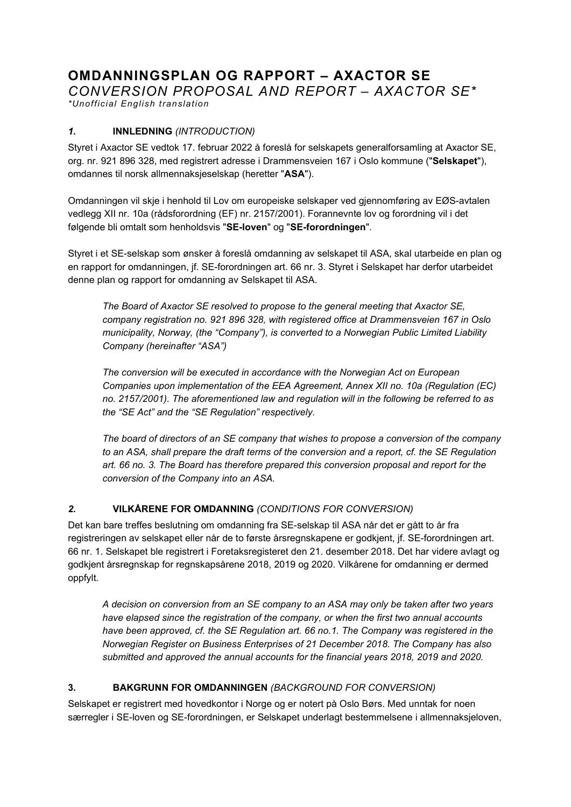# **OMDANNINGSPLAN OG RAPPORT – AXACTOR SE**

*CONVERSION PROPOSAL AND REPORT – AXACTOR SE\**

*\*Unofficial English translation*

## *1.* **INNLEDNING** *(INTRODUCTION)*

Styret i Axactor SE vedtok 17. februar 2022 å foreslå for selskapets generalforsamling at Axactor SE, org. nr. 921 896 328, med registrert adresse i Drammensveien 167 i Oslo kommune ("**Selskapet**"), omdannes til norsk allmennaksjeselskap (heretter "**ASA**").

Omdanningen vil skje i henhold til Lov om europeiske selskaper ved gjennomføring av EØS-avtalen vedlegg XII nr. 10a (rådsforordning (EF) nr. 2157/2001). Forannevnte lov og forordning vil i det følgende bli omtalt som henholdsvis "**SE-loven**" og "**SE-forordningen**".

Styret i et SE-selskap som ønsker å foreslå omdanning av selskapet til ASA, skal utarbeide en plan og en rapport for omdanningen, jf. SE-forordningen art. 66 nr. 3. Styret i Selskapet har derfor utarbeidet denne plan og rapport for omdanning av Selskapet til ASA.

*The Board of Axactor SE resolved to propose to the general meeting that Axactor SE, company registration no. 921 896 328, with registered office at Drammensveien 167 in Oslo municipality, Norway, (the "Company"), is converted to a Norwegian Public Limited Liability Company (hereinafter "ASA")*

*The conversion will be executed in accordance with the Norwegian Act on European Companies upon implementation of the EEA Agreement, Annex XII no. 10a (Regulation (EC) no. 2157/2001). The aforementioned law and regulation will in the following be referred to as the "SE Act" and the "SE Regulation" respectively.* 

*The board of directors of an SE company that wishes to propose a conversion of the company to an ASA, shall prepare the draft terms of the conversion and a report, cf. the SE Regulation art. 66 no. 3. The Board has therefore prepared this conversion proposal and report for the conversion of the Company into an ASA.* 

## *2.* **VILKÅRENE FOR OMDANNING** *(CONDITIONS FOR CONVERSION)*

Det kan bare treffes beslutning om omdanning fra SE-selskap til ASA når det er gått to år fra registreringen av selskapet eller når de to første årsregnskapene er godkjent, jf. SE-forordningen art. 66 nr. 1. Selskapet ble registrert i Foretaksregisteret den 21. desember 2018. Det har videre avlagt og godkjent årsregnskap for regnskapsårene 2018, 2019 og 2020. Vilkårene for omdanning er dermed oppfylt.

*A decision on conversion from an SE company to an ASA may only be taken after two years have elapsed since the registration of the company, or when the first two annual accounts have been approved, cf. the SE Regulation art. 66 no.1. The Company was registered in the Norwegian Register on Business Enterprises of 21 December 2018. The Company has also submitted and approved the annual accounts for the financial years 2018, 2019 and 2020.* 

#### **3. BAKGRUNN FOR OMDANNINGEN** *(BACKGROUND FOR CONVERSION)*

Selskapet er registrert med hovedkontor i Norge og er notert på Oslo Børs. Med unntak for noen særregler i SE-loven og SE-forordningen, er Selskapet underlagt bestemmelsene i allmennaksjeloven,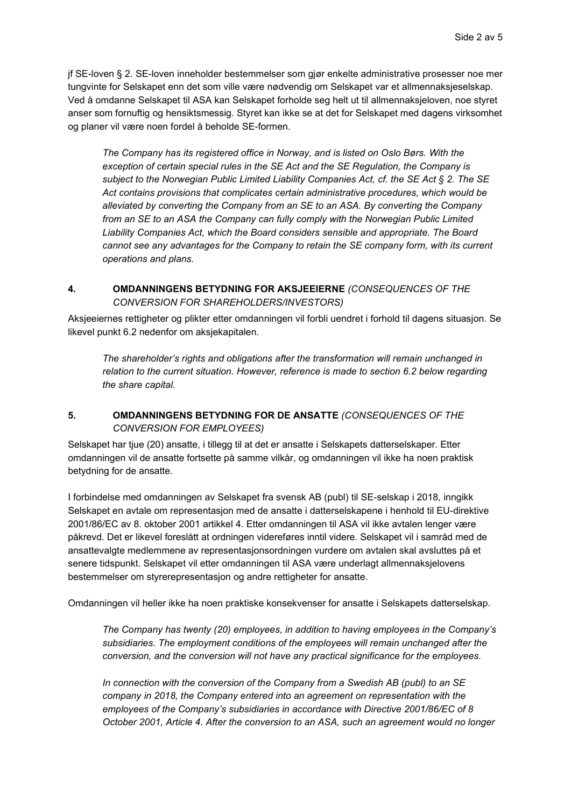jf SE-loven § 2. SE-loven inneholder bestemmelser som gjør enkelte administrative prosesser noe mer tungvinte for Selskapet enn det som ville være nødvendig om Selskapet var et allmennaksjeselskap. Ved å omdanne Selskapet til ASA kan Selskapet forholde seg helt ut til allmennaksjeloven, noe styret anser som fornuftig og hensiktsmessig. Styret kan ikke se at det for Selskapet med dagens virksomhet og planer vil være noen fordel å beholde SE-formen.

*The Company has its registered office in Norway, and is listed on Oslo Børs. With the exception of certain special rules in the SE Act and the SE Regulation, the Company is subject to the Norwegian Public Limited Liability Companies Act, cf. the SE Act § 2. The SE Act contains provisions that complicates certain administrative procedures, which would be alleviated by converting the Company from an SE to an ASA. By converting the Company*  from an SE to an ASA the Company can fully comply with the Norwegian Public Limited *Liability Companies Act, which the Board considers sensible and appropriate. The Board cannot see any advantages for the Company to retain the SE company form, with its current operations and plans.* 

#### **4. OMDANNINGENS BETYDNING FOR AKSJEEIERNE** *(CONSEQUENCES OF THE CONVERSION FOR SHAREHOLDERS/INVESTORS)*

Aksjeeiernes rettigheter og plikter etter omdanningen vil forbli uendret i forhold til dagens situasjon. Se likevel punkt 6.2 nedenfor om aksjekapitalen.

*The shareholder's rights and obligations after the transformation will remain unchanged in relation to the current situation. However, reference is made to section 6.2 below regarding the share capital.* 

#### **5. OMDANNINGENS BETYDNING FOR DE ANSATTE** *(CONSEQUENCES OF THE CONVERSION FOR EMPLOYEES)*

Selskapet har tjue (20) ansatte, i tillegg til at det er ansatte i Selskapets datterselskaper. Etter omdanningen vil de ansatte fortsette på samme vilkår, og omdanningen vil ikke ha noen praktisk betydning for de ansatte.

I forbindelse med omdanningen av Selskapet fra svensk AB (publ) til SE-selskap i 2018, inngikk Selskapet en avtale om representasjon med de ansatte i datterselskapene i henhold til EU-direktive 2001/86/EC av 8. oktober 2001 artikkel 4. Etter omdanningen til ASA vil ikke avtalen lenger være påkrevd. Det er likevel foreslått at ordningen videreføres inntil videre. Selskapet vil i samråd med de ansattevalgte medlemmene av representasjonsordningen vurdere om avtalen skal avsluttes på et senere tidspunkt. Selskapet vil etter omdanningen til ASA være underlagt allmennaksjelovens bestemmelser om styrerepresentasjon og andre rettigheter for ansatte.

Omdanningen vil heller ikke ha noen praktiske konsekvenser for ansatte i Selskapets datterselskap.

*The Company has twenty (20) employees, in addition to having employees in the Company's subsidiaries. The employment conditions of the employees will remain unchanged after the conversion, and the conversion will not have any practical significance for the employees.* 

*In connection with the conversion of the Company from a Swedish AB (publ) to an SE company in 2018, the Company entered into an agreement on representation with the employees of the Company's subsidiaries in accordance with Directive 2001/86/EC of 8 October 2001, Article 4. After the conversion to an ASA, such an agreement would no longer*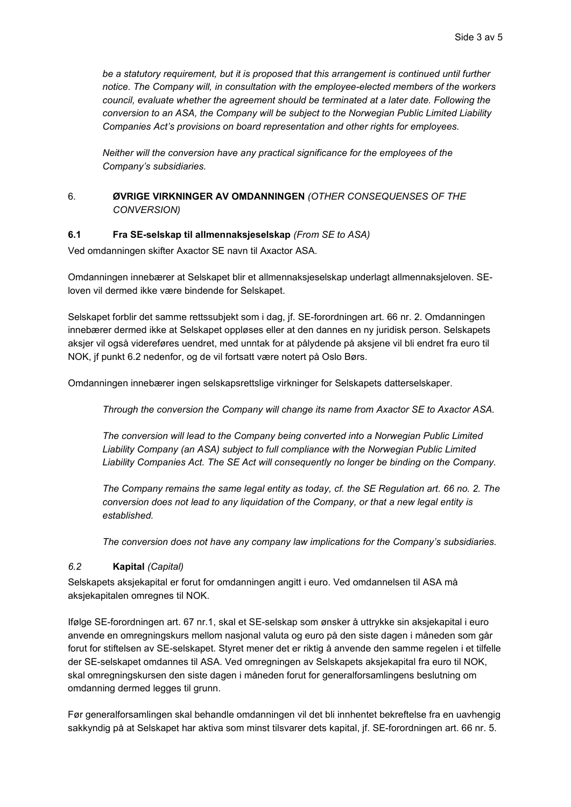*be a statutory requirement, but it is proposed that this arrangement is continued until further notice. The Company will, in consultation with the employee-elected members of the workers council, evaluate whether the agreement should be terminated at a later date. Following the conversion to an ASA, the Company will be subject to the Norwegian Public Limited Liability Companies Act's provisions on board representation and other rights for employees.* 

*Neither will the conversion have any practical significance for the employees of the Company's subsidiaries.* 

#### 6. **ØVRIGE VIRKNINGER AV OMDANNINGEN** *(OTHER CONSEQUENSES OF THE CONVERSION)*

#### **6.1 Fra SE-selskap til allmennaksjeselskap** *(From SE to ASA)*

Ved omdanningen skifter Axactor SE navn til Axactor ASA.

Omdanningen innebærer at Selskapet blir et allmennaksjeselskap underlagt allmennaksjeloven. SEloven vil dermed ikke være bindende for Selskapet.

Selskapet forblir det samme rettssubjekt som i dag, jf. SE-forordningen art. 66 nr. 2. Omdanningen innebærer dermed ikke at Selskapet oppløses eller at den dannes en ny juridisk person. Selskapets aksjer vil også videreføres uendret, med unntak for at pålydende på aksjene vil bli endret fra euro til NOK, jf punkt 6.2 nedenfor, og de vil fortsatt være notert på Oslo Børs.

Omdanningen innebærer ingen selskapsrettslige virkninger for Selskapets datterselskaper.

*Through the conversion the Company will change its name from Axactor SE to Axactor ASA.*

*The conversion will lead to the Company being converted into a Norwegian Public Limited Liability Company (an ASA) subject to full compliance with the Norwegian Public Limited Liability Companies Act. The SE Act will consequently no longer be binding on the Company.* 

*The Company remains the same legal entity as today, cf. the SE Regulation art. 66 no. 2. The conversion does not lead to any liquidation of the Company, or that a new legal entity is established.* 

*The conversion does not have any company law implications for the Company's subsidiaries.*

#### *6.2* **Kapital** *(Capital)*

Selskapets aksjekapital er forut for omdanningen angitt i euro. Ved omdannelsen til ASA må aksjekapitalen omregnes til NOK.

Ifølge SE-forordningen art. 67 nr.1, skal et SE-selskap som ønsker å uttrykke sin aksjekapital i euro anvende en omregningskurs mellom nasjonal valuta og euro på den siste dagen i måneden som går forut for stiftelsen av SE-selskapet. Styret mener det er riktig å anvende den samme regelen i et tilfelle der SE-selskapet omdannes til ASA. Ved omregningen av Selskapets aksjekapital fra euro til NOK, skal omregningskursen den siste dagen i måneden forut for generalforsamlingens beslutning om omdanning dermed legges til grunn.

Før generalforsamlingen skal behandle omdanningen vil det bli innhentet bekreftelse fra en uavhengig sakkyndig på at Selskapet har aktiva som minst tilsvarer dets kapital, jf. SE-forordningen art. 66 nr. 5.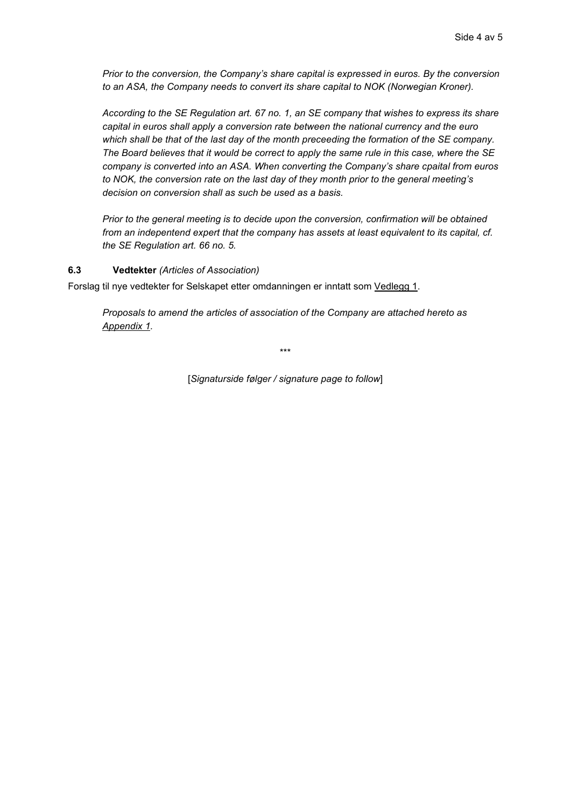*Prior to the conversion, the Company's share capital is expressed in euros. By the conversion to an ASA, the Company needs to convert its share capital to NOK (Norwegian Kroner).* 

*According to the SE Regulation art. 67 no. 1, an SE company that wishes to express its share capital in euros shall apply a conversion rate between the national currency and the euro which shall be that of the last day of the month preceeding the formation of the SE company. The Board believes that it would be correct to apply the same rule in this case, where the SE company is converted into an ASA. When converting the Company's share cpaital from euros to NOK, the conversion rate on the last day of they month prior to the general meeting's decision on conversion shall as such be used as a basis.* 

*Prior to the general meeting is to decide upon the conversion, confirmation will be obtained from an indepentend expert that the company has assets at least equivalent to its capital, cf. the SE Regulation art. 66 no. 5.* 

#### **6.3 Vedtekter** *(Articles of Association)*

Forslag til nye vedtekter for Selskapet etter omdanningen er inntatt som Vedlegg 1.

*Proposals to amend the articles of association of the Company are attached hereto as Appendix 1.* 

\*\*\*

[*Signaturside følger / signature page to follow*]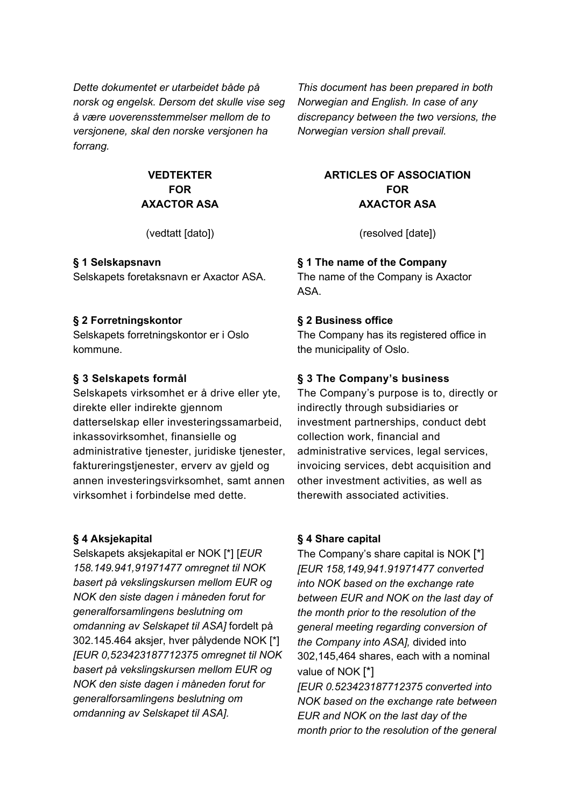*Dette dokumentet er utarbeidet både på norsk og engelsk. Dersom det skulle vise seg å være uoverensstemmelser mellom de to versjonene, skal den norske versjonen ha forrang.*

# **VEDTEKTER FOR AXACTOR ASA**

## **§ 1 Selskapsnavn**

Selskapets foretaksnavn er Axactor ASA.

### **§ 2 Forretningskontor**

Selskapets forretningskontor er i Oslo kommune.

## **§ 3 Selskapets formål**

Selskapets virksomhet er å drive eller yte, direkte eller indirekte gjennom datterselskap eller investeringssamarbeid, inkassovirksomhet, finansielle og administrative tjenester, juridiske tjenester, faktureringstjenester, erverv av gjeld og annen investeringsvirksomhet, samt annen virksomhet i forbindelse med dette.

## **§ 4 Aksjekapital**

Selskapets aksjekapital er NOK [\*] [*EUR 158.149.941,91971477 omregnet til NOK basert på vekslingskursen mellom EUR og NOK den siste dagen i måneden forut for generalforsamlingens beslutning om omdanning av Selskapet til ASA]* fordelt på 302.145.464 aksjer, hver pålydende NOK [\*] *[EUR 0,523423187712375 omregnet til NOK basert på vekslingskursen mellom EUR og NOK den siste dagen i måneden forut for generalforsamlingens beslutning om omdanning av Selskapet til ASA].*

*This document has been prepared in both Norwegian and English. In case of any discrepancy between the two versions, the Norwegian version shall prevail.*

## **ARTICLES OF ASSOCIATION FOR AXACTOR ASA**

(vedtatt [dato]) (resolved [date])

# **§ 1 The name of the Company**

The name of the Company is Axactor ASA.

## **§ 2 Business office**

The Company has its registered office in the municipality of Oslo.

# **§ 3 The Company's business**

The Company's purpose is to, directly or indirectly through subsidiaries or investment partnerships, conduct debt collection work, financial and administrative services, legal services, invoicing services, debt acquisition and other investment activities, as well as therewith associated activities.

## **§ 4 Share capital**

The Company's share capital is NOK [\*] *[EUR 158,149,941.91971477 converted into NOK based on the exchange rate between EUR and NOK on the last day of the month prior to the resolution of the general meeting regarding conversion of the Company into ASA],* divided into 302,145,464 shares, each with a nominal value of NOK [\*]

*[EUR 0.523423187712375 converted into NOK based on the exchange rate between EUR and NOK on the last day of the month prior to the resolution of the general*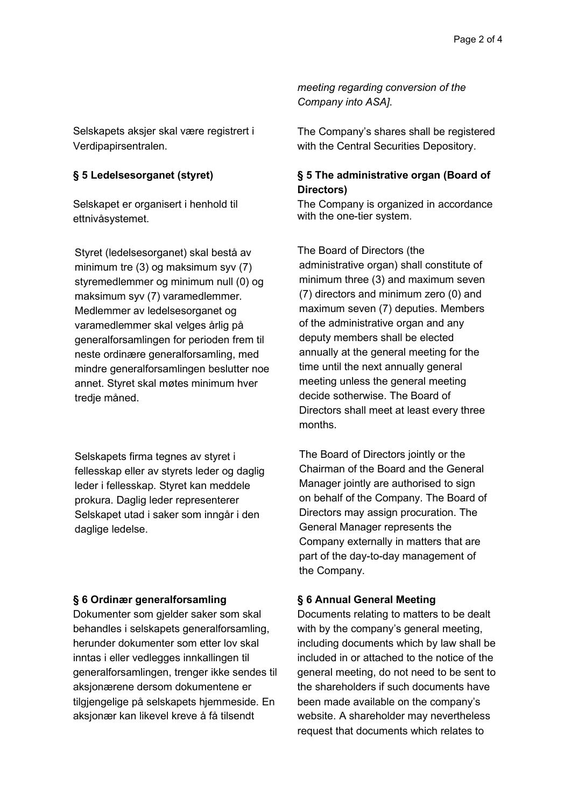Selskapets aksjer skal være registrert i Verdipapirsentralen.

### **§ 5 Ledelsesorganet (styret)**

Selskapet er organisert i henhold til ettnivåsystemet.

Styret (ledelsesorganet) skal bestå av minimum tre (3) og maksimum syv (7) styremedlemmer og minimum null (0) og maksimum syv (7) varamedlemmer. Medlemmer av ledelsesorganet og varamedlemmer skal velges årlig på generalforsamlingen for perioden frem til neste ordinære generalforsamling, med mindre generalforsamlingen beslutter noe annet. Styret skal møtes minimum hver tredje måned.

Selskapets firma tegnes av styret i fellesskap eller av styrets leder og daglig leder i fellesskap. Styret kan meddele prokura. Daglig leder representerer Selskapet utad i saker som inngår i den daglige ledelse.

#### **§ 6 Ordinær generalforsamling**

Dokumenter som gjelder saker som skal behandles i selskapets generalforsamling, herunder dokumenter som etter lov skal inntas i eller vedlegges innkallingen til generalforsamlingen, trenger ikke sendes til aksjonærene dersom dokumentene er tilgjengelige på selskapets hjemmeside. En aksjonær kan likevel kreve å få tilsendt

*meeting regarding conversion of the Company into ASA]*.

The Company's shares shall be registered with the Central Securities Depository.

### **§ 5 The administrative organ (Board of Directors)**

The Company is organized in accordance with the one-tier system.

The Board of Directors (the administrative organ) shall constitute of minimum three (3) and maximum seven (7) directors and minimum zero (0) and maximum seven (7) deputies. Members of the administrative organ and any deputy members shall be elected annually at the general meeting for the time until the next annually general meeting unless the general meeting decide sotherwise. The Board of Directors shall meet at least every three months.

The Board of Directors jointly or the Chairman of the Board and the General Manager jointly are authorised to sign on behalf of the Company. The Board of Directors may assign procuration. The General Manager represents the Company externally in matters that are part of the day-to-day management of the Company.

#### **§ 6 Annual General Meeting**

Documents relating to matters to be dealt with by the company's general meeting, including documents which by law shall be included in or attached to the notice of the general meeting, do not need to be sent to the shareholders if such documents have been made available on the company's website. A shareholder may nevertheless request that documents which relates to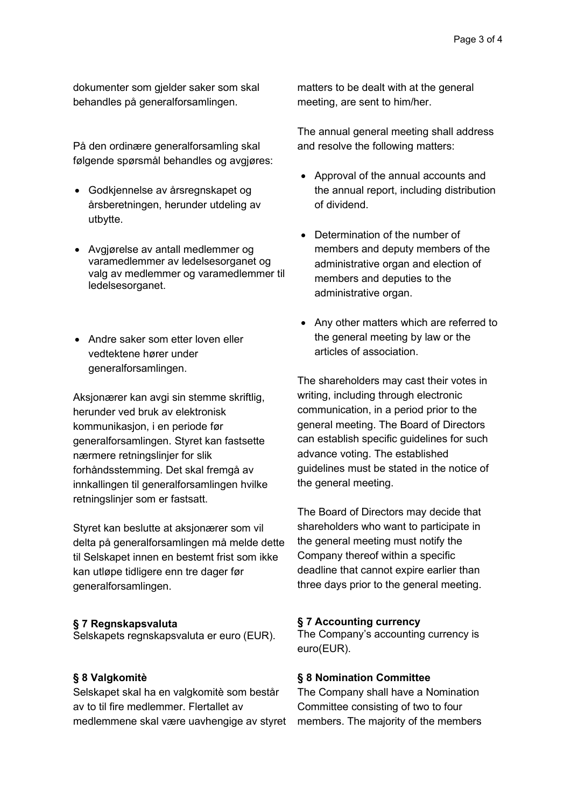dokumenter som gjelder saker som skal behandles på generalforsamlingen.

På den ordinære generalforsamling skal følgende spørsmål behandles og avgjøres:

- Godkjennelse av årsregnskapet og årsberetningen, herunder utdeling av utbytte.
- Avgjørelse av antall medlemmer og varamedlemmer av ledelsesorganet og valg av medlemmer og varamedlemmer til ledelsesorganet.
- Andre saker som etter loven eller vedtektene hører under generalforsamlingen.

Aksjonærer kan avgi sin stemme skriftlig, herunder ved bruk av elektronisk kommunikasjon, i en periode før generalforsamlingen. Styret kan fastsette nærmere retningslinjer for slik forhåndsstemming. Det skal fremgå av innkallingen til generalforsamlingen hvilke retningslinjer som er fastsatt.

Styret kan beslutte at aksjonærer som vil delta på generalforsamlingen må melde dette til Selskapet innen en bestemt frist som ikke kan utløpe tidligere enn tre dager før generalforsamlingen.

#### **§ 7 Regnskapsvaluta**

Selskapets regnskapsvaluta er euro (EUR).

#### **§ 8 Valgkomitè**

Selskapet skal ha en valgkomitè som består av to til fire medlemmer. Flertallet av medlemmene skal være uavhengige av styret matters to be dealt with at the general meeting, are sent to him/her.

The annual general meeting shall address and resolve the following matters:

- Approval of the annual accounts and the annual report, including distribution of dividend.
- Determination of the number of members and deputy members of the administrative organ and election of members and deputies to the administrative organ.
- Any other matters which are referred to the general meeting by law or the articles of association.

The shareholders may cast their votes in writing, including through electronic communication, in a period prior to the general meeting. The Board of Directors can establish specific guidelines for such advance voting. The established guidelines must be stated in the notice of the general meeting.

The Board of Directors may decide that shareholders who want to participate in the general meeting must notify the Company thereof within a specific deadline that cannot expire earlier than three days prior to the general meeting.

#### **§ 7 Accounting currency**

The Company's accounting currency is euro(EUR).

#### **§ 8 Nomination Committee**

The Company shall have a Nomination Committee consisting of two to four members. The majority of the members